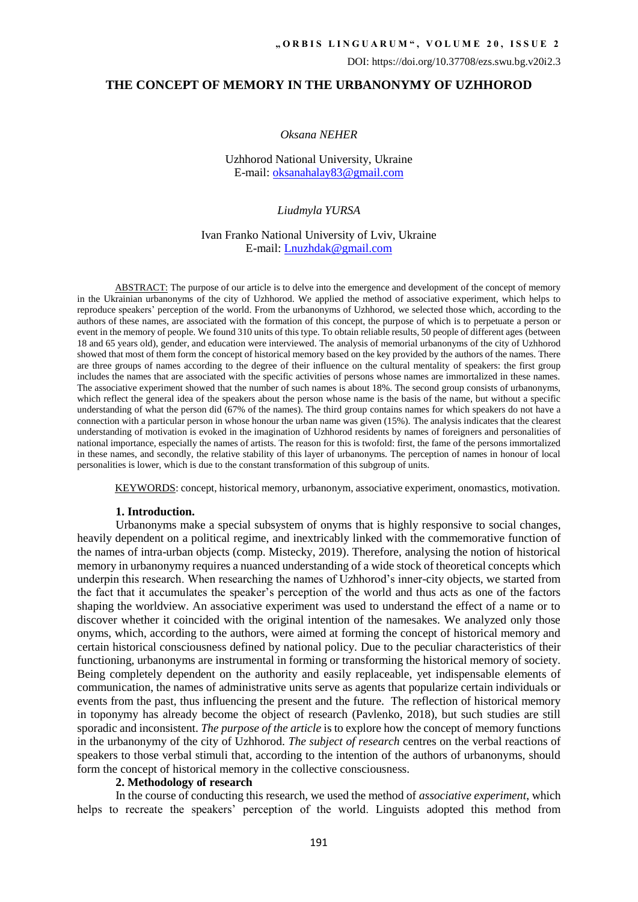DOI: https://doi.org/10.37708/ezs.swu.bg.v20i2.3

## **THE CONCEPT OF MEMORY IN THE URBANONYMY OF UZHHOROD**

## *Oksana NEHER*

Uzhhorod National University, Ukraine E-mail: [oksanahalay83@gmail.com](mailto:oksanahalay83@gmail.com)

## *Liudmyla YURSA*

## Ivan Franko National University of Lviv, Ukraine E-mail: [Lnuzhdak@gmail.com](mailto:Lnuzhdak@gmail.com)

ABSTRACT: The purpose of our article is to delve into the emergence and development of the concept of memory in the Ukrainian urbanonyms of the city of Uzhhorod. We applied the method of associative experiment, which helps to reproduce speakers' perception of the world. From the urbanonyms of Uzhhorod, we selected those which, according to the authors of these names, are associated with the formation of this concept, the purpose of which is to perpetuate a person or event in the memory of people. We found 310 units of this type. To obtain reliable results, 50 people of different ages (between 18 and 65 years old), gender, and education were interviewed. The analysis of memorial urbanonyms of the city of Uzhhorod showed that most of them form the concept of historical memory based on the key provided by the authors of the names. There are three groups of names according to the degree of their influence on the cultural mentality of speakers: the first group includes the names that are associated with the specific activities of persons whose names are immortalized in these names. The associative experiment showed that the number of such names is about 18%. The second group consists of urbanonyms, which reflect the general idea of the speakers about the person whose name is the basis of the name, but without a specific understanding of what the person did (67% of the names). The third group contains names for which speakers do not have a connection with a particular person in whose honour the urban name was given (15%). The analysis indicates that the clearest understanding of motivation is evoked in the imagination of Uzhhorod residents by names of foreigners and personalities of national importance, especially the names of artists. The reason for this is twofold: first, the fame of the persons immortalized in these names, and secondly, the relative stability of this layer of urbanonyms. The perception of names in honour of local personalities is lower, which is due to the constant transformation of this subgroup of units.

KEYWORDS: concept, historical memory, urbanonym, associative experiment, onomastics, motivation.

## **1. Introduction.**

Urbanonyms make a special subsystem of onyms that is highly responsive to social changes, heavily dependent on a political regime, and inextricably linked with the commemorative function of the names of intra-urban objects (comp. Mistecky, 2019). Therefore, analysing the notion of historical memory in urbanonymy requires a nuanced understanding of a wide stock of theoretical concepts which underpin this research. When researching the names of Uzhhorod's inner-city objects, we started from the fact that it accumulates the speaker's perception of the world and thus acts as one of the factors shaping the worldview. An associative experiment was used to understand the effect of a name or to discover whether it coincided with the original intention of the namesakes. We analyzed only those onyms, which, according to the authors, were aimed at forming the concept of historical memory and certain historical consciousness defined by national policy. Due to the peculiar characteristics of their functioning, urbanonyms are instrumental in forming or transforming the historical memory of society. Being completely dependent on the authority and easily replaceable, yet indispensable elements of communication, the names of administrative units serve as agents that popularize certain individuals or events from the past, thus influencing the present and the future. The reflection of historical memory in toponymy has already become the object of research (Pavlenko, 2018), but such studies are still sporadic and inconsistent. *The purpose of the article* is to explore how the concept of memory functions in the urbanonymy of the city of Uzhhorod. *The subject of research* centres on the verbal reactions of speakers to those verbal stimuli that, according to the intention of the authors of urbanonyms, should form the concept of historical memory in the collective consciousness.

## **2. Methodology of research**

In the course of conducting this research, we used the method of *associative experiment*, which helps to recreate the speakers' perception of the world. Linguists adopted this method from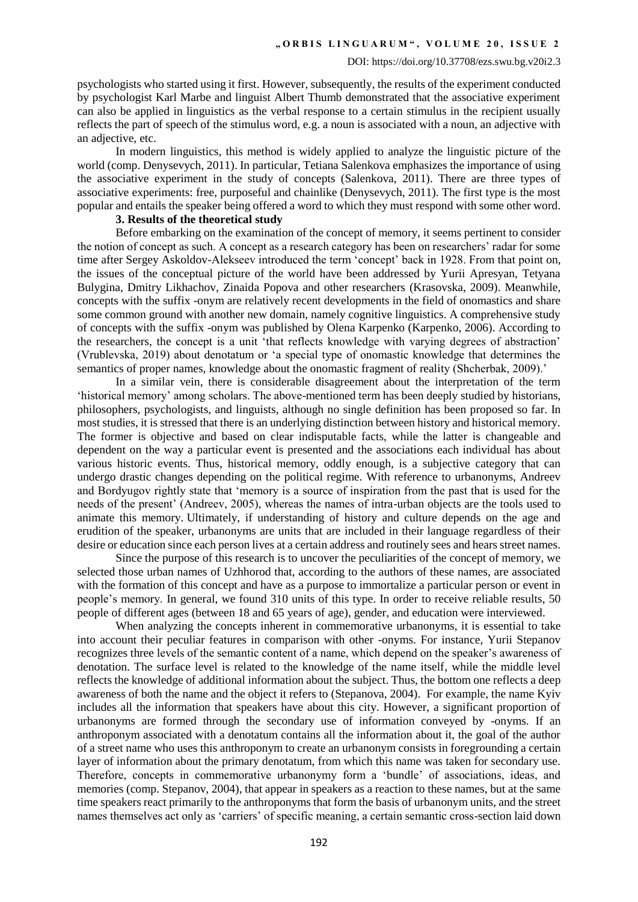psychologists who started using it first. However, subsequently, the results of the experiment conducted by psychologist Karl Marbe and linguist Albert Thumb demonstrated that the associative experiment can also be applied in linguistics as the verbal response to a certain stimulus in the recipient usually reflects the part of speech of the stimulus word, e.g. a noun is associated with a noun, an adjective with an adjective, etc.

In modern linguistics, this method is widely applied to analyze the linguistic picture of the world (comp. Denysevych, 2011). In particular, Tetiana Salenkova emphasizes the importance of using the associative experiment in the study of concepts (Salenkova, 2011). There are three types of associative experiments: free, purposeful and chainlike (Denysevych, 2011). The first type is the most popular and entails the speaker being offered a word to which they must respond with some other word.

## **3. Results of the theoretical study**

Before embarking on the examination of the concept of memory, it seems pertinent to consider the notion of concept as such. A concept as a research category has been on researchers' radar for some time after Sergey Askoldov-Alekseev introduced the term 'concept' back in 1928. From that point on, the issues of the conceptual picture of the world have been addressed by Yurii Apresyan, Tetyana Bulygina, Dmitry Likhachov, Zinaida Popova and other researchers (Krasovska, 2009). Meanwhile, concepts with the suffix -onym are relatively recent developments in the field of onomastics and share some common ground with another new domain, namely cognitive linguistics. A comprehensive study of concepts with the suffix -onym was published by Olena Karpenko (Karpenko, 2006). According to the researchers, the concept is a unit 'that reflects knowledge with varying degrees of abstraction' (Vrublevska, 2019) about denotatum or 'a special type of onomastic knowledge that determines the semantics of proper names, knowledge about the onomastic fragment of reality (Shcherbak, 2009).'

In a similar vein, there is considerable disagreement about the interpretation of the term 'historical memory' among scholars. The above-mentioned term has been deeply studied by historians, philosophers, psychologists, and linguists, although no single definition has been proposed so far. In most studies, it is stressed that there is an underlying distinction between history and historical memory. The former is objective and based on clear indisputable facts, while the latter is changeable and dependent on the way a particular event is presented and the associations each individual has about various historic events. Thus, historical memory, oddly enough, is a subjective category that can undergo drastic changes depending on the political regime. With reference to urbanonyms, Andreev and Bordyugov rightly state that 'memory is a source of inspiration from the past that is used for the needs of the present' (Andreev, 2005), whereas the names of intra-urban objects are the tools used to animate this memory. Ultimately, if understanding of history and culture depends on the age and erudition of the speaker, urbanonyms are units that are included in their language regardless of their desire or education since each person lives at a certain address and routinely sees and hears street names.

Since the purpose of this research is to uncover the peculiarities of the concept of memory, we selected those urban names of Uzhhorod that, according to the authors of these names, are associated with the formation of this concept and have as a purpose to immortalize a particular person or event in people's memory. In general, we found 310 units of this type. In order to receive reliable results, 50 people of different ages (between 18 and 65 years of age), gender, and education were interviewed.

When analyzing the concepts inherent in commemorative urbanonyms, it is essential to take into account their peculiar features in comparison with other -onyms. For instance, Yurii Stepanov recognizes three levels of the semantic content of a name, which depend on the speaker's awareness of denotation. The surface level is related to the knowledge of the name itself, while the middle level reflects the knowledge of additional information about the subject. Thus, the bottom one reflects a deep awareness of both the name and the object it refers to (Stepanova, 2004). For example, the name Kyiv includes all the information that speakers have about this city. However, a significant proportion of urbanonyms are formed through the secondary use of information conveyed by -onyms. If an anthroponym associated with a denotatum contains all the information about it, the goal of the author of a street name who uses this anthroponym to create an urbanonym consists in foregrounding a certain layer of information about the primary denotatum, from which this name was taken for secondary use. Therefore, concepts in commemorative urbanonymy form a 'bundle' of associations, ideas, and memories (comp. Stepanov, 2004), that appear in speakers as a reaction to these names, but at the same time speakers react primarily to the anthroponyms that form the basis of urbanonym units, and the street names themselves act only as 'carriers' of specific meaning, a certain semantic cross-section laid down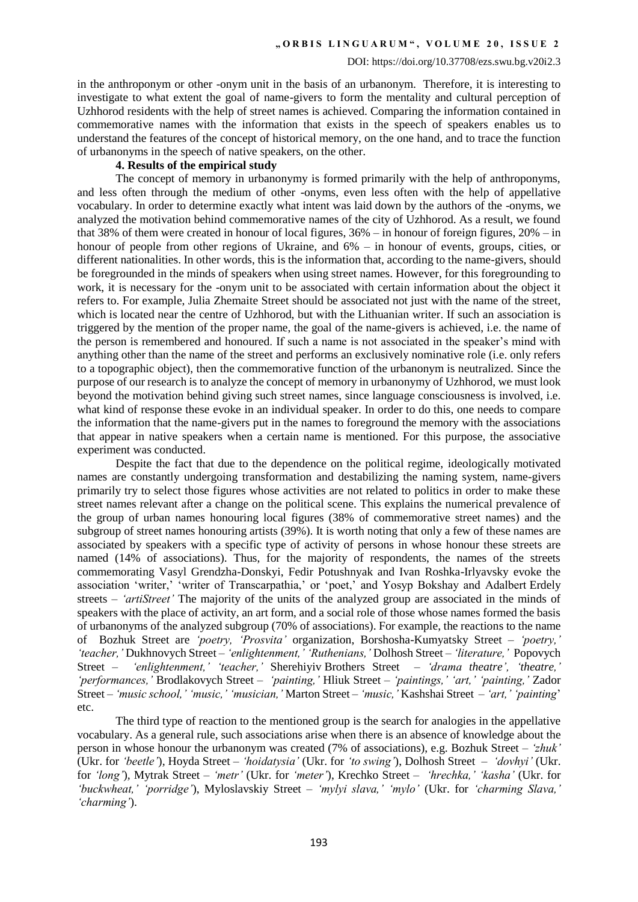in the anthroponym or other -onym unit in the basis of an urbanonym. Therefore, it is interesting to investigate to what extent the goal of name-givers to form the mentality and cultural perception of Uzhhorod residents with the help of street names is achieved. Comparing the information contained in commemorative names with the information that exists in the speech of speakers enables us to understand the features of the concept of historical memory, on the one hand, and to trace the function of urbanonyms in the speech of native speakers, on the other.

## **4. Results of the empirical study**

The concept of memory in urbanonymy is formed primarily with the help of anthroponyms, and less often through the medium of other -onyms, even less often with the help of appellative vocabulary. In order to determine exactly what intent was laid down by the authors of the -onyms, we analyzed the motivation behind commemorative names of the city of Uzhhorod. As a result, we found that 38% of them were created in honour of local figures, 36% – in honour of foreign figures, 20% – in honour of people from other regions of Ukraine, and  $6\%$  – in honour of events, groups, cities, or different nationalities. In other words, this is the information that, according to the name-givers, should be foregrounded in the minds of speakers when using street names. However, for this foregrounding to work, it is necessary for the -onym unit to be associated with certain information about the object it refers to. For example, Julia Zhemaite Street should be associated not just with the name of the street, which is located near the centre of Uzhhorod, but with the Lithuanian writer. If such an association is triggered by the mention of the proper name, the goal of the name-givers is achieved, i.e. the name of the person is remembered and honoured. If such a name is not associated in the speaker's mind with anything other than the name of the street and performs an exclusively nominative role (i.e. only refers to a topographic object), then the commemorative function of the urbanonym is neutralized. Since the purpose of our research is to analyze the concept of memory in urbanonymy of Uzhhorod, we must look beyond the motivation behind giving such street names, since language consciousness is involved, i.e. what kind of response these evoke in an individual speaker. In order to do this, one needs to compare the information that the name-givers put in the names to foreground the memory with the associations that appear in native speakers when a certain name is mentioned. For this purpose, the associative experiment was conducted.

Despite the fact that due to the dependence on the political regime, ideologically motivated names are constantly undergoing transformation and destabilizing the naming system, name-givers primarily try to select those figures whose activities are not related to politics in order to make these street names relevant after a change on the political scene. This explains the numerical prevalence of the group of urban names honouring local figures (38% of commemorative street names) and the subgroup of street names honouring artists (39%). It is worth noting that only a few of these names are associated by speakers with a specific type of activity of persons in whose honour these streets are named (14% of associations). Thus, for the majority of respondents, the names of the streets commemorating Vasyl Grendzha-Donskyi, Fedir Potushnyak and Ivan Roshka-Irlyavsky evoke the association 'writer,' 'writer of Transcarpathia,' or 'poet,' and Yosyp Bokshay and Adalbert Erdely streets – *'artiStreet'* The majority of the units of the analyzed group are associated in the minds of speakers with the place of activity, an art form, and a social role of those whose names formed the basis of urbanonyms of the analyzed subgroup (70% of associations). For example, the reactions to the name of Bozhuk Street are *'poetry, 'Prosvita'* organization, Borshosha-Kumyatsky Street – *'poetry,' 'teacher,'* Dukhnovych Street – *'enlightenment,' 'Ruthenians,'* Dolhosh Street – *'literature,'* Popovych Street – *'enlightenment,' 'teacher,'* Sherehiyiv Brothers Street – *'drama theatre', 'theatre,' 'performances,'* Brodlakovych Street – *'painting,'* Hliuk Street – *'paintings,' 'art,' 'painting,'* Zador Street – *'music school,' 'music,' 'musician,'* Marton Street – *'music,'* Kashshai Street – *'art,' 'painting*' etc.

The third type of reaction to the mentioned group is the search for analogies in the appellative vocabulary. As a general rule, such associations arise when there is an absence of knowledge about the person in whose honour the urbanonym was created (7% of associations), e.g. Bozhuk Street – *'zhuk'*  (Ukr. for *'beetle'*)*,* Hoyda Street – *'hoidatysia'* (Ukr. for *'to swing'*), Dolhosh Street – *'dovhyi'* (Ukr. for *'long'*)*,* Mytrak Street – *'metr'* (Ukr. for *'meter'*), Krechko Street – *'hrechka,' 'kasha'* (Ukr. for *'buckwheat,' 'porridge'*), Myloslavskiy Street – *'mylyi slava,' 'mylo'* (Ukr. for *'charming Slava,' 'charming'*).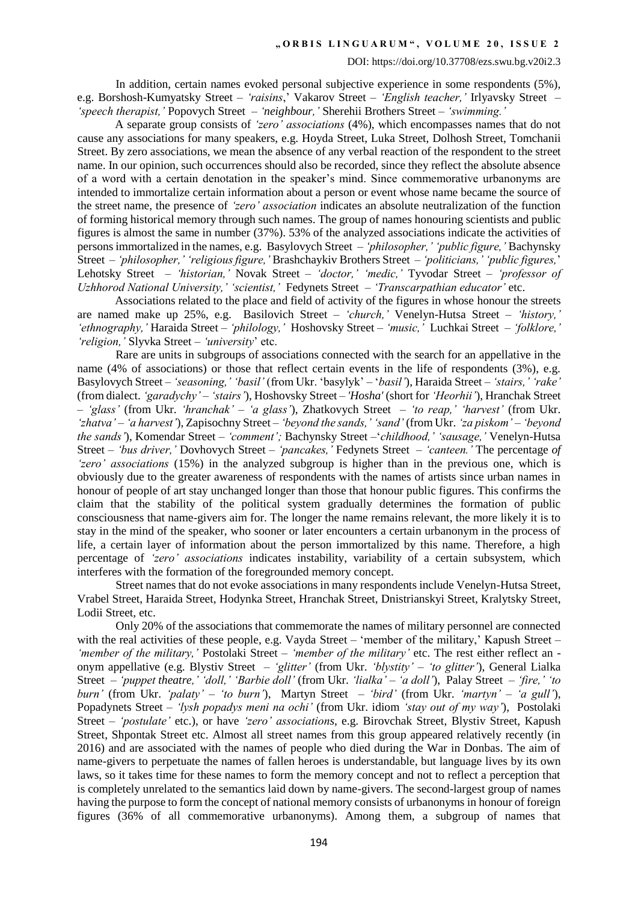In addition, certain names evoked personal subjective experience in some respondents (5%), e.g. Borshosh-Kumyatsky Street – *'raisins*,' Vakarov Street – *'English teacher,'* Irlyavsky Street – *'speech therapist,'* Popovych Street – *'neighbour,'* Sherehii Brothers Street – *'swimming.'*

A separate group consists of *'zero' associations* (4%), which encompasses names that do not cause any associations for many speakers, e.g. Hoyda Street, Luka Street, Dolhosh Street, Tomchanii Street. By zero associations, we mean the absence of any verbal reaction of the respondent to the street name. In our opinion, such occurrences should also be recorded, since they reflect the absolute absence of a word with a certain denotation in the speaker's mind. Since commemorative urbanonyms are intended to immortalize certain information about a person or event whose name became the source of the street name, the presence of *'zero' association* indicates an absolute neutralization of the function of forming historical memory through such names. The group of names honouring scientists and public figures is almost the same in number (37%). 53% of the analyzed associations indicate the activities of persons immortalized in the names, e.g. Basylovych Street – *'philosopher,' 'public figure,'* Bachynsky Street – *'philosopher,' 'religious figure,'* Brashchaykiv Brothers Street – *'politicians,' 'public figures,*' Lehotsky Street – *'historian,'* Novak Street – *'doctor,' 'medic,'* Tyvodar Street – *'professor of Uzhhorod National University,' 'scientist,'* Fedynets Street – *'Transcarpathian educator'* etc.

Associations related to the place and field of activity of the figures in whose honour the streets are named make up 25%, e.g. Basilovich Street – *'church,'* Venelyn-Hutsa Street – *'history,' 'ethnography,'* Haraida Street – *'philology,'* Hoshovsky Street – *'music,'* Luchkai Street – *'folklore,' 'religion,'* Slyvka Street – *'university*' etc.

Rare are units in subgroups of associations connected with the search for an appellative in the name (4% of associations) or those that reflect certain events in the life of respondents (3%), e.g. Basylovych Street – *'seasoning,' 'basil'* (from Ukr. 'basylyk' – '*basil'*), Haraida Street – *'stairs,' 'rake'*  (from dialect. *'garadychy' – 'stairs'*), Hoshovsky Street – *'Hosha'* (short for *'Heorhii'*), Hranchak Street – *'glass'* (from Ukr. *'hranchak'* – *'a glass'*), Zhatkovych Street – *'to reap,' 'harvest'* (from Ukr. *'zhatva' – 'a harvest'*), Zapisochny Street – *'beyond the sands,' 'sand'* (from Ukr. *'za piskom' – 'beyond the sands'*), Komendar Street – *'comment';* Bachynsky Street –'*childhood,' 'sausage,'* Venelyn-Hutsa Street – *'bus driver,'* Dovhovych Street – *'pancakes,'* Fedynets Street – *'canteen.'* The percentage *of 'zero' associations* (15%) in the analyzed subgroup is higher than in the previous one, which is obviously due to the greater awareness of respondents with the names of artists since urban names in honour of people of art stay unchanged longer than those that honour public figures. This confirms the claim that the stability of the political system gradually determines the formation of public consciousness that name-givers aim for. The longer the name remains relevant, the more likely it is to stay in the mind of the speaker, who sooner or later encounters a certain urbanonym in the process of life, a certain layer of information about the person immortalized by this name. Therefore, a high percentage of *'zero' associations* indicates instability, variability of a certain subsystem, which interferes with the formation of the foregrounded memory concept.

Street names that do not evoke associations in many respondents include Venelyn-Hutsa Street, Vrabel Street, Haraida Street, Hodynka Street, Hranchak Street, Dnistrianskyi Street, Kralytsky Street, Lodii Street, etc.

Only 20% of the associations that commemorate the names of military personnel are connected with the real activities of these people, e.g. Vayda Street – 'member of the military,' Kapush Street – *'member of the military,'* Postolaki Street – *'member of the military'* etc. The rest either reflect an onym appellative (e.g. Blystiv Street – *'glitter'* (from Ukr. *'blystity' – 'to glitter'*), General Lialka Street – *'puppet theatre,' 'doll,' 'Barbie doll'* (from Ukr. *'lialka' – 'a doll'*), Palay Street – *'fire,' 'to burn'* (from Ukr. *'palaty' – 'to burn'*), Martyn Street – *'bird'* (from Ukr. *'martyn' – 'a gull'*), Popadynets Street – *'lysh popadys meni na ochi'* (from Ukr. idiom *'stay out of my way'*), Postolaki Street – *'postulate'* etc.), or have *'zero' associations*, e.g. Birovchak Street, Blystiv Street, Kapush Street, Shpontak Street etc. Almost all street names from this group appeared relatively recently (in 2016) and are associated with the names of people who died during the War in Donbas. The aim of name-givers to perpetuate the names of fallen heroes is understandable, but language lives by its own laws, so it takes time for these names to form the memory concept and not to reflect a perception that is completely unrelated to the semantics laid down by name-givers. The second-largest group of names having the purpose to form the concept of national memory consists of urbanonyms in honour of foreign figures (36% of all commemorative urbanonyms). Among them, a subgroup of names that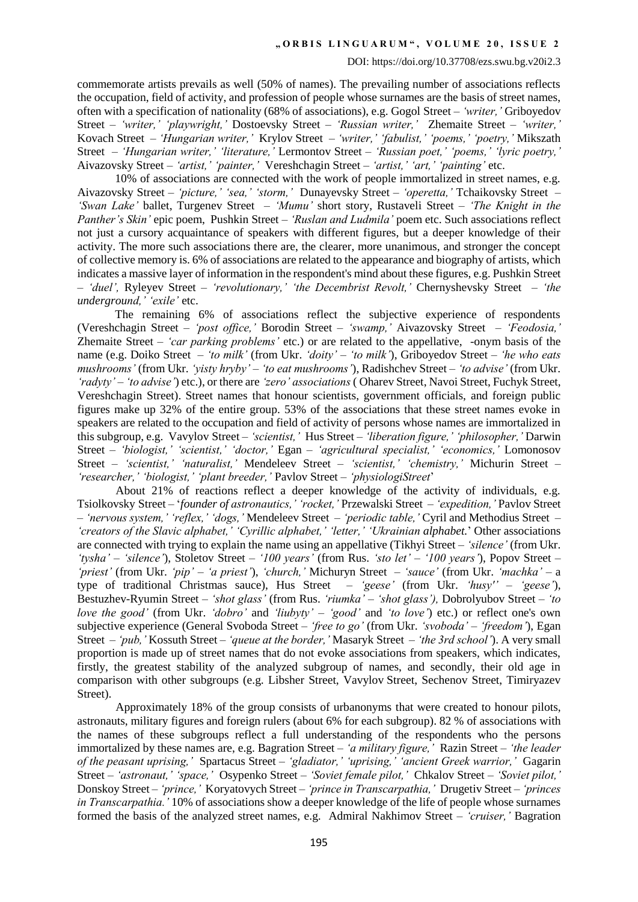commemorate artists prevails as well (50% of names). The prevailing number of associations reflects the occupation, field of activity, and profession of people whose surnames are the basis of street names, often with a specification of nationality (68% of associations), e.g. Gogol Street – *'writer,'* Griboyedov Street – *'writer,' 'playwright,'* Dostoevsky Street – *'Russian writer,'* Zhemaite Street – *'writer,'* Kovach Street – *'Hungarian writer,'* Krylov Street – *'writer,' 'fabulist,' 'poems,' 'poetry,'* Mikszath Street – *'Hungarian writer,' 'literature,'* Lermontov Street – *'Russian poet,' 'poems,' 'lyric poetry,'* Aivazovsky Street – *'artist,' 'painter,'* Vereshchagin Street – *'artist,' 'art,' 'painting'* etc.

10% of associations are connected with the work of people immortalized in street names, e.g. Aivazovsky Street – *'picture,' 'sea,' 'storm,'* Dunayevsky Street – *'operetta,'* Tchaikovsky Street – *'Swan Lake'* ballet, Turgenev Street – *'Mumu'* short story, Rustaveli Street – *'The Knight in the Panther's Skin'* epic poem, Pushkin Street – *'Ruslan and Ludmila'* poem etc. Such associations reflect not just a cursory acquaintance of speakers with different figures, but a deeper knowledge of their activity. The more such associations there are, the clearer, more unanimous, and stronger the concept of collective memory is. 6% of associations are related to the appearance and biography of artists, which indicates a massive layer of information in the respondent's mind about these figures, e.g. Pushkin Street – *'duel',* Ryleyev Street – *'revolutionary,' 'the Decembrist Revolt,'* Chernyshevsky Street – *'the underground,' 'exile'* etc.

The remaining 6% of associations reflect the subjective experience of respondents (Vereshchagin Street – *'post office,'* Borodin Street – *'swamp,'* Aivazovsky Street – *'Feodosia,'* Zhemaite Street – *'car parking problems'* etc.) or are related to the appellative, -onym basis of the name (e.g. Doiko Street – *'to milk'* (from Ukr. *'doity' – 'to milk'*), Griboyedov Street – *'he who eats mushrooms'* (from Ukr. *'yisty hryby' – 'to eat mushrooms'*), Radishchev Street – *'to advise'* (from Ukr. *'radyty'* – *'to advise'*) etc.), or there are *'zero' associations* ( Oharev Street, Navoi Street, Fuchyk Street, Vereshchagin Street). Street names that honour scientists, government officials, and foreign public figures make up 32% of the entire group. 53% of the associations that these street names evoke in speakers are related to the occupation and field of activity of persons whose names are immortalized in this subgroup, e.g. Vavylov Street – *'scientist,'* Hus Street – *'liberation figure,' 'philosopher,'* Darwin Street – *'biologist,' 'scientist,' 'doctor,'* Egan – *'agricultural specialist,' 'economics,'* Lomonosov Street – *'scientist,' 'naturalist,'* Mendeleev Street – *'scientist,' 'chemistry,'* Michurin Street – *'researcher,' 'biologist,' 'plant breeder,'* Pavlov Street – *'physiologiStreet*'

About 21% of reactions reflect a deeper knowledge of the activity of individuals, e.g. Tsiolkovsky Street – '*founder of astronautics,' 'rocket,'* Przewalski Street – *'expedition,'* Pavlov Street – *'nervous system,' 'reflex,' 'dogs,'* Mendeleev Street – *'periodic table,'* Cyril and Methodius Street – *'creators of the Slavic alphabet,' 'Cyrillic alphabet,' 'letter,' 'Ukrainian alphabet.*' Other associations are connected with trying to explain the name using an appellative (Tikhyi Street – *'silence'* (from Ukr. *'tysha' – 'silence'*), Stoletov Street – *'100 years'* (from Rus. *'sto let' – '100 years'*), Popov Street – *'priest'* (from Ukr. *'pip' – 'a priest'*), *'church,'* Michuryn Street – *'sauce'* (from Ukr. *'machka'* – a type of traditional Christmas sauce), Hus Street – *'geese'* (from Ukr. *'husy'' – 'geese'*), Bestuzhev-Ryumin Street – *'shot glass'* (from Rus. *'riumka' – 'shot glass'),* Dobrolyubov Street – *'to love the good'* (from Ukr. *'dobro'* and *'liubyty' – 'good'* and *'to love'*) etc.) or reflect one's own subjective experience (General Svoboda Street – *'free to go'* (from Ukr. *'svoboda' – 'freedom'*), Egan Street – *'pub,'* Kossuth Street – *'queue at the border,'* Masaryk Street – *'the 3rd school'*). A very small proportion is made up of street names that do not evoke associations from speakers, which indicates, firstly, the greatest stability of the analyzed subgroup of names, and secondly, their old age in comparison with other subgroups (e.g. Libsher Street, Vavylov Street, Sechenov Street, Timiryazev Street).

Approximately 18% of the group consists of urbanonyms that were created to honour pilots, astronauts, military figures and foreign rulers (about 6% for each subgroup). 82 % of associations with the names of these subgroups reflect a full understanding of the respondents who the persons immortalized by these names are, e.g. Bagration Street – *'a military figure,'* Razin Street – *'the leader of the peasant uprising,'* Spartacus Street – *'gladiator,' 'uprising,' 'ancient Greek warrior,'* Gagarin Street – *'astronaut,' 'space,'* Osypenko Street – *'Soviet female pilot,'* Chkalov Street – *'Soviet pilot,'* Donskoy Street – *'prince,'* Koryatovych Street – *'prince in Transcarpathia,'* Drugetiv Street – *'princes in Transcarpathia.'* 10% of associations show a deeper knowledge of the life of people whose surnames formed the basis of the analyzed street names, e.g. Admiral Nakhimov Street – *'cruiser,'* Bagration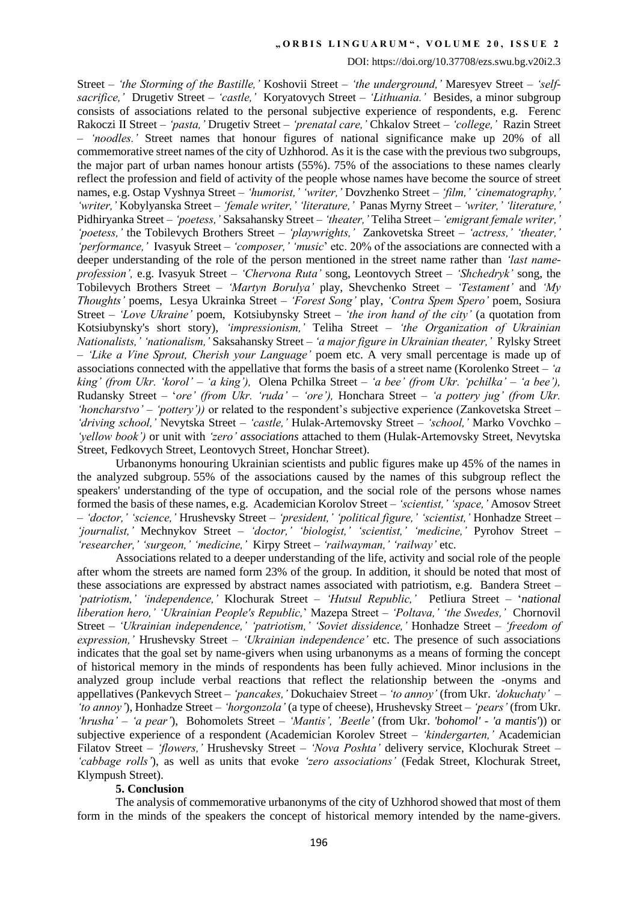#### DOI: https://doi.org/10.37708/ezs.swu.bg.v20i2.3

Street – *'the Storming of the Bastille,'* Koshovii Street – *'the underground,'* Maresyev Street – *'selfsacrifice,'* Drugetiv Street – *'castle,'* Koryatovych Street *– 'Lithuania.'* Besides, a minor subgroup consists of associations related to the personal subjective experience of respondents, e.g. Ferenc Rakoczi II Street – *'pasta,'* Drugetiv Street – *'prenatal care,'* Chkalov Street – *'college,'* Razin Street – *'noodles.'* Street names that honour figures of national significance make up 20% of all commemorative street names of the city of Uzhhorod. As it is the case with the previous two subgroups, the major part of urban names honour artists (55%). 75% of the associations to these names clearly reflect the profession and field of activity of the people whose names have become the source of street names, e.g. Ostap Vyshnya Street – *'humorist,' 'writer,'* Dovzhenko Street – *'film,' 'cinematography,' 'writer,'* Kobylyanska Street – *'female writer,' 'literature,'* Panas Myrny Street – *'writer,' 'literature,'* Pidhiryanka Street – *'poetess,'* Saksahansky Street – *'theater,'* Teliha Street – *'emigrant female writer,' 'poetess,'* the Tobilevych Brothers Street – *'playwrights,'* Zankovetska Street – *'actress,' 'theater,' 'performance,'* Ivasyuk Street – *'composer,' 'music*' etc. 20% of the associations are connected with a deeper understanding of the role of the person mentioned in the street name rather than *'last nameprofession',* e.g. Ivasyuk Street – *'Chervona Ruta'* song, Leontovych Street – *'Shchedryk'* song, the Tobilevych Brothers Street – *'Martyn Borulya'* play, Shevchenko Street – *'Testament'* and *'My Thoughts'* poems, Lesya Ukrainka Street – *'Forest Song'* play, *'Contra Spem Spero'* poem, Sosiura Street – *'Love Ukraine'* poem, Kotsiubynsky Street – *'the iron hand of the city'* (a quotation from Kotsiubynsky's short story), *'impressionism,'* Teliha Street – *'the Organization of Ukrainian Nationalists,' 'nationalism,'* Saksahansky Street – *'a major figure in Ukrainian theater,'* Rylsky Street – *'Like a Vine Sprout, Cherish your Language'* poem etc. A very small percentage is made up of associations connected with the appellative that forms the basis of a street name (Korolenko Street – *'a king' (from Ukr. 'korol' – 'a king'),* Olena Pchilka Street – *'a bee' (from Ukr. 'pchilka' – 'a bee'),* Rudansky Street – '*ore' (from Ukr. 'ruda' – 'ore'),* Honchara Street – *'a pottery jug' (from Ukr. 'honcharstvo' – 'pottery'))* or related to the respondent's subjective experience (Zankovetska Street – *'driving school,'* Nevytska Street – *'castle,'* Hulak-Artemovsky Street – *'school,'* Marko Vovchko – *'yellow book')* or unit with *'zero' associations* attached to them (Hulak-Artemovsky Street, Nevytska Street, Fedkovych Street, Leontovych Street, Honchar Street).

Urbanonyms honouring Ukrainian scientists and public figures make up 45% of the names in the analyzed subgroup. 55% of the associations caused by the names of this subgroup reflect the speakers' understanding of the type of occupation, and the social role of the persons whose names formed the basis of these names, e.g. Academician Korolov Street – *'scientist,' 'space,'* Amosov Street – *'doctor,' 'science,'* Hrushevsky Street – *'president,' 'political figure,' 'scientist,'* Honhadze Street – *'journalist,'* Mechnykov Street – *'doctor,' 'biologist,' 'scientist,' 'medicine,'* Pyrohov Street – *'researcher,' 'surgeon,' 'medicine,'* Kirpy Street – *'railwayman,' 'railway'* etc.

Associations related to a deeper understanding of the life, activity and social role of the people after whom the streets are named form 23% of the group. In addition, it should be noted that most of these associations are expressed by abstract names associated with patriotism, e.g. Bandera Street – *'patriotism,' 'independence,'* Klochurak Street – *'Hutsul Republic,'* Petliura Street – '*national liberation hero,' 'Ukrainian People's Republic,*' Mazepa Street – *'Poltava,' 'the Swedes,'* Chornovil Street – *'Ukrainian independence,' 'patriotism,' 'Soviet dissidence,'* Honhadze Street – *'freedom of expression,'* Hrushevsky Street – *'Ukrainian independence'* etc. The presence of such associations indicates that the goal set by name-givers when using urbanonyms as a means of forming the concept of historical memory in the minds of respondents has been fully achieved. Minor inclusions in the analyzed group include verbal reactions that reflect the relationship between the -onyms and appellatives (Pankevych Street – *'pancakes,'* Dokuchaiev Street – *'to annoy'* (from Ukr. *'dokuchaty'* – *'to annoy'*), Honhadze Street – *'horgonzola'* (a type of cheese), Hrushevsky Street – *'pears'* (from Ukr. *'hrusha' – 'a pear'*), Bohomolets Street – *'Mantis', 'Beetle'* (from Ukr. *'bohomol' - 'a mantis'*)) or subjective experience of a respondent (Academician Korolev Street – *'kindergarten,'* Academician Filatov Street – *'flowers,'* Hrushevsky Street – *'Nova Poshta'* delivery service, Klochurak Street – *'cabbage rolls'*), as well as units that evoke *'zero associations'* (Fedak Street, Klochurak Street, Klympush Street).

## **5. Conclusion**

The analysis of commemorative urbanonyms of the city of Uzhhorod showed that most of them form in the minds of the speakers the concept of historical memory intended by the name-givers.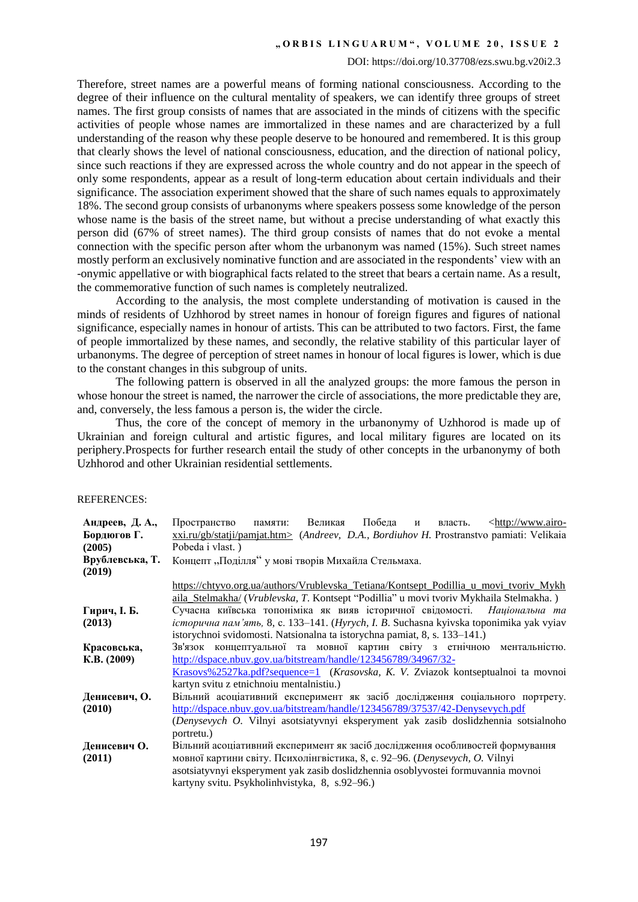#### DOI: https://doi.org/10.37708/ezs.swu.bg.v20i2.3

Therefore, street names are a powerful means of forming national consciousness. According to the degree of their influence on the cultural mentality of speakers, we can identify three groups of street names. The first group consists of names that are associated in the minds of citizens with the specific activities of people whose names are immortalized in these names and are characterized by a full understanding of the reason why these people deserve to be honoured and remembered. It is this group that clearly shows the level of national consciousness, education, and the direction of national policy, since such reactions if they are expressed across the whole country and do not appear in the speech of only some respondents, appear as a result of long-term education about certain individuals and their significance. The association experiment showed that the share of such names equals to approximately 18%. The second group consists of urbanonyms where speakers possess some knowledge of the person whose name is the basis of the street name, but without a precise understanding of what exactly this person did (67% of street names). The third group consists of names that do not evoke a mental connection with the specific person after whom the urbanonym was named (15%). Such street names mostly perform an exclusively nominative function and are associated in the respondents' view with an -onymic appellative or with biographical facts related to the street that bears a certain name. As a result, the commemorative function of such names is completely neutralized.

According to the analysis, the most complete understanding of motivation is caused in the minds of residents of Uzhhorod by street names in honour of foreign figures and figures of national significance, especially names in honour of artists. This can be attributed to two factors. First, the fame of people immortalized by these names, and secondly, the relative stability of this particular layer of urbanonyms. The degree of perception of street names in honour of local figures is lower, which is due to the constant changes in this subgroup of units.

The following pattern is observed in all the analyzed groups: the more famous the person in whose honour the street is named, the narrower the circle of associations, the more predictable they are, and, conversely, the less famous a person is, the wider the circle.

Thus, the core of the concept of memory in the urbanonymy of Uzhhorod is made up of Ukrainian and foreign cultural and artistic figures, and local military figures are located on its periphery.Prospects for further research entail the study of other concepts in the urbanonymy of both Uzhhorod and other Ukrainian residential settlements.

#### REFERENCES:

| Андреев, Д. А.,           | Великая<br>Победа и<br>-http://www.airo-<br>Пространство<br>памяти:<br>власть.                                                                                                  |  |  |  |  |  |  |  |
|---------------------------|---------------------------------------------------------------------------------------------------------------------------------------------------------------------------------|--|--|--|--|--|--|--|
| Бордюгов Г.               | xxi.ru/gb/statji/pamjat.htm> (Andreev, D.A., Bordiuhov H. Prostranstvo pamiati: Velikaia                                                                                        |  |  |  |  |  |  |  |
| (2005)                    | Pobeda i vlast.)                                                                                                                                                                |  |  |  |  |  |  |  |
| Врублевська, Т.<br>(2019) | Концепт "Поділля" у мові творів Михайла Стельмаха.                                                                                                                              |  |  |  |  |  |  |  |
|                           | https://chtyvo.org.ua/authors/Vrublevska Tetiana/Kontsept Podillia u movi tvoriv Mykh<br>aila_Stelmakha/ (Vrublevska, T. Kontsept "Podillia" u movi tvoriv Mykhaila Stelmakha.) |  |  |  |  |  |  |  |
| Гирич, I. Б.              | Сучасна київська топоніміка як вияв історичної свідомості. Національна та                                                                                                       |  |  |  |  |  |  |  |
| (2013)                    | icторична пам'ять, 8, с. 133–141. (Hyrych, I. B. Suchasna kyivska toponimika yak vyiav                                                                                          |  |  |  |  |  |  |  |
|                           | istorychnoi svidomosti. Natsionalna ta istorychna pamiat, 8, s. 133–141.)                                                                                                       |  |  |  |  |  |  |  |
| Красовська,               | Зв'язок концептуальної та мовної картин світу з етнічною ментальністю.                                                                                                          |  |  |  |  |  |  |  |
| K.B. (2009)               | http://dspace.nbuv.gov.ua/bitstream/handle/123456789/34967/32-                                                                                                                  |  |  |  |  |  |  |  |
|                           | Krasovs%2527ka.pdf?sequence=1 (Krasovska, K. V. Zviazok kontseptualnoi ta movnoi                                                                                                |  |  |  |  |  |  |  |
|                           | kartyn svitu z etnichnoiu mentalnistiu.)                                                                                                                                        |  |  |  |  |  |  |  |
| Денисевич, О.             | Вільний асоціативний експеримент як засіб дослідження соціального портрету.                                                                                                     |  |  |  |  |  |  |  |
| (2010)                    | http://dspace.nbuv.gov.ua/bitstream/handle/123456789/37537/42-Denysevych.pdf                                                                                                    |  |  |  |  |  |  |  |
|                           | (Denysevych O. Vilnyi asotsiatyvnyi eksperyment yak zasib doslidzhennia sotsialnoho                                                                                             |  |  |  |  |  |  |  |
|                           | portretu.)                                                                                                                                                                      |  |  |  |  |  |  |  |
| Денисевич О.              | Вільний асоціативний експеримент як засіб дослідження особливостей формування                                                                                                   |  |  |  |  |  |  |  |
| (2011)                    | мовної картини світу. Психолінгвістика, 8, с. 92–96. (Denysevych, O. Vilnyi                                                                                                     |  |  |  |  |  |  |  |
|                           | asotsiatyvnyi eksperyment yak zasib doslidzhennia osoblyvostei formuvannia movnoi                                                                                               |  |  |  |  |  |  |  |
|                           | kartyny svitu. Psykholinhvistyka, 8, s.92–96.)                                                                                                                                  |  |  |  |  |  |  |  |